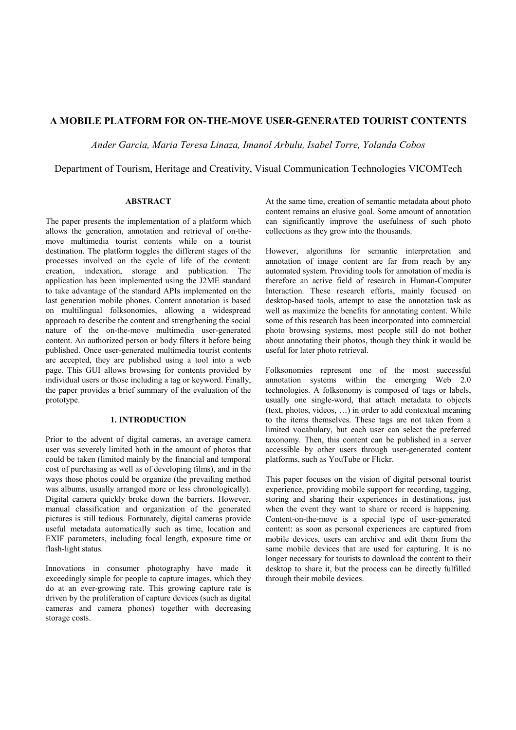# **A MOBILE PLATFORM FOR ON-THE-MOVE USER-GENERATED TOURIST CONTENTS**

*Ander Garcia, Maria Teresa Linaza, Imanol Arbulu, Isabel Torre, Yolanda Cobos* 

Department of Tourism, Heritage and Creativity, Visual Communication Technologies VICOMTech

#### **ABSTRACT**

The paper presents the implementation of a platform which allows the generation, annotation and retrieval of on-themove multimedia tourist contents while on a tourist destination. The platform toggles the different stages of the processes involved on the cycle of life of the content: creation, indexation, storage and publication. The application has been implemented using the J2ME standard to take advantage of the standard APIs implemented on the last generation mobile phones. Content annotation is based on multilingual folksonomies, allowing a widespread approach to describe the content and strengthening the social nature of the on-the-move multimedia user-generated content. An authorized person or body filters it before being published. Once user-generated multimedia tourist contents are accepted, they are published using a tool into a web page. This GUI allows browsing for contents provided by individual users or those including a tag or keyword. Finally, the paper provides a brief summary of the evaluation of the prototype.

## **1. INTRODUCTION**

Prior to the advent of digital cameras, an average camera user was severely limited both in the amount of photos that could be taken (limited mainly by the financial and temporal cost of purchasing as well as of developing films), and in the ways those photos could be organize (the prevailing method was albums, usually arranged more or less chronologically). Digital camera quickly broke down the barriers. However, manual classification and organization of the generated pictures is still tedious. Fortunately, digital cameras provide useful metadata automatically such as time, location and EXIF parameters, including focal length, exposure time or flash-light status.

Innovations in consumer photography have made it exceedingly simple for people to capture images, which they do at an ever-growing rate. This growing capture rate is driven by the proliferation of capture devices (such as digital cameras and camera phones) together with decreasing storage costs.

At the same time, creation of semantic metadata about photo content remains an elusive goal. Some amount of annotation can significantly improve the usefulness of such photo collections as they grow into the thousands.

However, algorithms for semantic interpretation and annotation of image content are far from reach by any automated system. Providing tools for annotation of media is therefore an active field of research in Human-Computer Interaction. These research efforts, mainly focused on desktop-based tools, attempt to ease the annotation task as well as maximize the benefits for annotating content. While some of this research has been incorporated into commercial photo browsing systems, most people still do not bother about annotating their photos, though they think it would be useful for later photo retrieval.

Folksonomies represent one of the most successful annotation systems within the emerging Web 2.0 technologies. A folksonomy is composed of tags or labels, usually one single-word, that attach metadata to objects (text, photos, videos, …) in order to add contextual meaning to the items themselves. These tags are not taken from a limited vocabulary, but each user can select the preferred taxonomy. Then, this content can be published in a server accessible by other users through user-generated content platforms, such as YouTube or Flickr.

This paper focuses on the vision of digital personal tourist experience, providing mobile support for recording, tagging, storing and sharing their experiences in destinations, just when the event they want to share or record is happening. Content-on-the-move is a special type of user-generated content: as soon as personal experiences are captured from mobile devices, users can archive and edit them from the same mobile devices that are used for capturing. It is no longer necessary for tourists to download the content to their desktop to share it, but the process can be directly fulfilled through their mobile devices.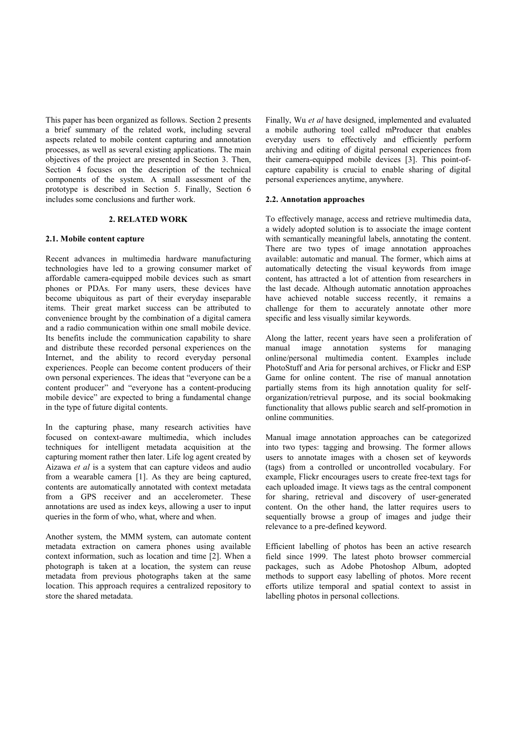This paper has been organized as follows. Section 2 presents a brief summary of the related work, including several aspects related to mobile content capturing and annotation processes, as well as several existing applications. The main objectives of the project are presented in Section 3. Then, Section 4 focuses on the description of the technical components of the system. A small assessment of the prototype is described in Section 5. Finally, Section 6 includes some conclusions and further work.

#### **2. RELATED WORK**

#### **2.1. Mobile content capture**

Recent advances in multimedia hardware manufacturing technologies have led to a growing consumer market of affordable camera-equipped mobile devices such as smart phones or PDAs. For many users, these devices have become ubiquitous as part of their everyday inseparable items. Their great market success can be attributed to convenience brought by the combination of a digital camera and a radio communication within one small mobile device. Its benefits include the communication capability to share and distribute these recorded personal experiences on the Internet, and the ability to record everyday personal experiences. People can become content producers of their own personal experiences. The ideas that "everyone can be a content producer" and "everyone has a content-producing mobile device" are expected to bring a fundamental change in the type of future digital contents.

In the capturing phase, many research activities have focused on context-aware multimedia, which includes techniques for intelligent metadata acquisition at the capturing moment rather then later. Life log agent created by Aizawa *et al* is a system that can capture videos and audio from a wearable camera [1]. As they are being captured, contents are automatically annotated with context metadata from a GPS receiver and an accelerometer. These annotations are used as index keys, allowing a user to input queries in the form of who, what, where and when.

Another system, the MMM system, can automate content metadata extraction on camera phones using available context information, such as location and time [2]. When a photograph is taken at a location, the system can reuse metadata from previous photographs taken at the same location. This approach requires a centralized repository to store the shared metadata.

Finally, Wu *et al* have designed, implemented and evaluated a mobile authoring tool called mProducer that enables everyday users to effectively and efficiently perform archiving and editing of digital personal experiences from their camera-equipped mobile devices [3]. This point-ofcapture capability is crucial to enable sharing of digital personal experiences anytime, anywhere.

#### **2.2. Annotation approaches**

To effectively manage, access and retrieve multimedia data, a widely adopted solution is to associate the image content with semantically meaningful labels, annotating the content. There are two types of image annotation approaches available: automatic and manual. The former, which aims at automatically detecting the visual keywords from image content, has attracted a lot of attention from researchers in the last decade. Although automatic annotation approaches have achieved notable success recently, it remains a challenge for them to accurately annotate other more specific and less visually similar keywords.

Along the latter, recent years have seen a proliferation of manual image annotation systems for managing online/personal multimedia content. Examples include PhotoStuff and Aria for personal archives, or Flickr and ESP Game for online content. The rise of manual annotation partially stems from its high annotation quality for selforganization/retrieval purpose, and its social bookmaking functionality that allows public search and self-promotion in online communities.

Manual image annotation approaches can be categorized into two types: tagging and browsing. The former allows users to annotate images with a chosen set of keywords (tags) from a controlled or uncontrolled vocabulary. For example, Flickr encourages users to create free-text tags for each uploaded image. It views tags as the central component for sharing, retrieval and discovery of user-generated content. On the other hand, the latter requires users to sequentially browse a group of images and judge their relevance to a pre-defined keyword.

Efficient labelling of photos has been an active research field since 1999. The latest photo browser commercial packages, such as Adobe Photoshop Album, adopted methods to support easy labelling of photos. More recent efforts utilize temporal and spatial context to assist in labelling photos in personal collections.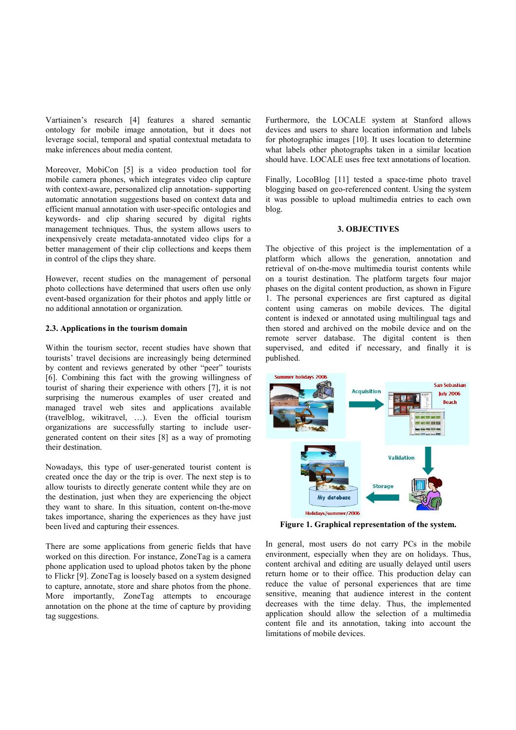Vartiainen's research [4] features a shared semantic ontology for mobile image annotation, but it does not leverage social, temporal and spatial contextual metadata to make inferences about media content.

Moreover, MobiCon [5] is a video production tool for mobile camera phones, which integrates video clip capture with context-aware, personalized clip annotation- supporting automatic annotation suggestions based on context data and efficient manual annotation with user-specific ontologies and keywords- and clip sharing secured by digital rights management techniques. Thus, the system allows users to inexpensively create metadata-annotated video clips for a better management of their clip collections and keeps them in control of the clips they share.

However, recent studies on the management of personal photo collections have determined that users often use only event-based organization for their photos and apply little or no additional annotation or organization.

#### **2.3. Applications in the tourism domain**

Within the tourism sector, recent studies have shown that tourists' travel decisions are increasingly being determined by content and reviews generated by other "peer" tourists [6]. Combining this fact with the growing willingness of tourist of sharing their experience with others [7], it is not surprising the numerous examples of user created and managed travel web sites and applications available (travelblog, wikitravel, …). Even the official tourism organizations are successfully starting to include usergenerated content on their sites [8] as a way of promoting their destination.

Nowadays, this type of user-generated tourist content is created once the day or the trip is over. The next step is to allow tourists to directly generate content while they are on the destination, just when they are experiencing the object they want to share. In this situation, content on-the-move takes importance, sharing the experiences as they have just been lived and capturing their essences.

There are some applications from generic fields that have worked on this direction. For instance, ZoneTag is a camera phone application used to upload photos taken by the phone to Flickr [9]. ZoneTag is loosely based on a system designed to capture, annotate, store and share photos from the phone. More importantly, ZoneTag attempts to encourage annotation on the phone at the time of capture by providing tag suggestions.

Furthermore, the LOCALE system at Stanford allows devices and users to share location information and labels for photographic images [10]. It uses location to determine what labels other photographs taken in a similar location should have. LOCALE uses free text annotations of location.

Finally, LocoBlog [11] tested a space-time photo travel blogging based on geo-referenced content. Using the system it was possible to upload multimedia entries to each own blog.

#### **3. OBJECTIVES**

The objective of this project is the implementation of a platform which allows the generation, annotation and retrieval of on-the-move multimedia tourist contents while on a tourist destination. The platform targets four major phases on the digital content production, as shown in Figure 1. The personal experiences are first captured as digital content using cameras on mobile devices. The digital content is indexed or annotated using multilingual tags and then stored and archived on the mobile device and on the remote server database. The digital content is then supervised, and edited if necessary, and finally it is published.



**Figure 1. Graphical representation of the system.** 

In general, most users do not carry PCs in the mobile environment, especially when they are on holidays. Thus, content archival and editing are usually delayed until users return home or to their office. This production delay can reduce the value of personal experiences that are time sensitive, meaning that audience interest in the content decreases with the time delay. Thus, the implemented application should allow the selection of a multimedia content file and its annotation, taking into account the limitations of mobile devices.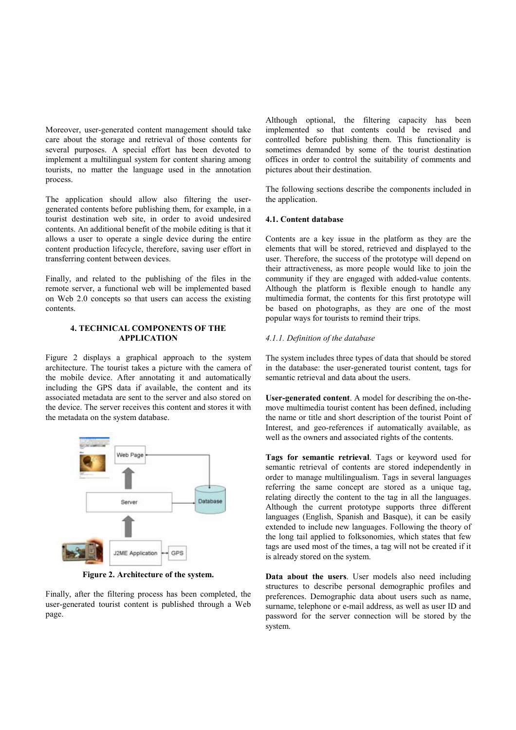Moreover, user-generated content management should take care about the storage and retrieval of those contents for several purposes. A special effort has been devoted to implement a multilingual system for content sharing among tourists, no matter the language used in the annotation process.

The application should allow also filtering the usergenerated contents before publishing them, for example, in a tourist destination web site, in order to avoid undesired contents. An additional benefit of the mobile editing is that it allows a user to operate a single device during the entire content production lifecycle, therefore, saving user effort in transferring content between devices.

Finally, and related to the publishing of the files in the remote server, a functional web will be implemented based on Web 2.0 concepts so that users can access the existing contents.

# **4. TECHNICAL COMPONENTS OF THE APPLICATION**

Figure 2 displays a graphical approach to the system architecture. The tourist takes a picture with the camera of the mobile device. After annotating it and automatically including the GPS data if available, the content and its associated metadata are sent to the server and also stored on the device. The server receives this content and stores it with the metadata on the system database.



**Figure 2. Architecture of the system.** 

Finally, after the filtering process has been completed, the user-generated tourist content is published through a Web page.

Although optional, the filtering capacity has been implemented so that contents could be revised and controlled before publishing them. This functionality is sometimes demanded by some of the tourist destination offices in order to control the suitability of comments and pictures about their destination.

The following sections describe the components included in the application.

# **4.1. Content database**

Contents are a key issue in the platform as they are the elements that will be stored, retrieved and displayed to the user. Therefore, the success of the prototype will depend on their attractiveness, as more people would like to join the community if they are engaged with added-value contents. Although the platform is flexible enough to handle any multimedia format, the contents for this first prototype will be based on photographs, as they are one of the most popular ways for tourists to remind their trips.

#### *4.1.1. Definition of the database*

The system includes three types of data that should be stored in the database: the user-generated tourist content, tags for semantic retrieval and data about the users.

**User-generated content**. A model for describing the on-themove multimedia tourist content has been defined, including the name or title and short description of the tourist Point of Interest, and geo-references if automatically available, as well as the owners and associated rights of the contents.

**Tags for semantic retrieval**. Tags or keyword used for semantic retrieval of contents are stored independently in order to manage multilingualism. Tags in several languages referring the same concept are stored as a unique tag, relating directly the content to the tag in all the languages. Although the current prototype supports three different languages (English, Spanish and Basque), it can be easily extended to include new languages. Following the theory of the long tail applied to folksonomies, which states that few tags are used most of the times, a tag will not be created if it is already stored on the system.

**Data about the users**. User models also need including structures to describe personal demographic profiles and preferences. Demographic data about users such as name, surname, telephone or e-mail address, as well as user ID and password for the server connection will be stored by the system.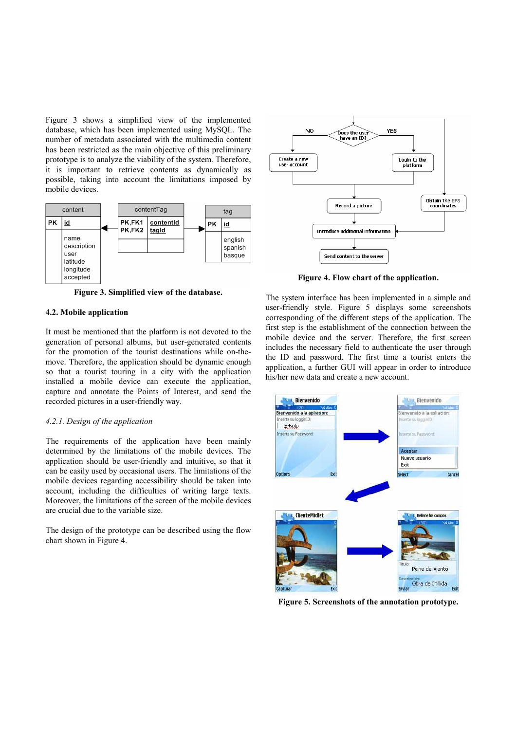Figure 3 shows a simplified view of the implemented database, which has been implemented using MySQL. The number of metadata associated with the multimedia content has been restricted as the main objective of this preliminary prototype is to analyze the viability of the system. Therefore, it is important to retrieve contents as dynamically as possible, taking into account the limitations imposed by mobile devices.



**Figure 3. Simplified view of the database.**

# **4.2. Mobile application**

It must be mentioned that the platform is not devoted to the generation of personal albums, but user-generated contents for the promotion of the tourist destinations while on-themove. Therefore, the application should be dynamic enough so that a tourist touring in a city with the application installed a mobile device can execute the application, capture and annotate the Points of Interest, and send the recorded pictures in a user-friendly way.

# *4.2.1. Design of the application*

The requirements of the application have been mainly determined by the limitations of the mobile devices. The application should be user-friendly and intuitive, so that it can be easily used by occasional users. The limitations of the mobile devices regarding accessibility should be taken into account, including the difficulties of writing large texts. Moreover, the limitations of the screen of the mobile devices are crucial due to the variable size.

The design of the prototype can be described using the flow chart shown in Figure 4.



**Figure 4. Flow chart of the application.** 

The system interface has been implemented in a simple and user-friendly style. Figure 5 displays some screenshots corresponding of the different steps of the application. The first step is the establishment of the connection between the mobile device and the server. Therefore, the first screen includes the necessary field to authenticate the user through the ID and password. The first time a tourist enters the application, a further GUI will appear in order to introduce his/her new data and create a new account.



**Figure 5. Screenshots of the annotation prototype.**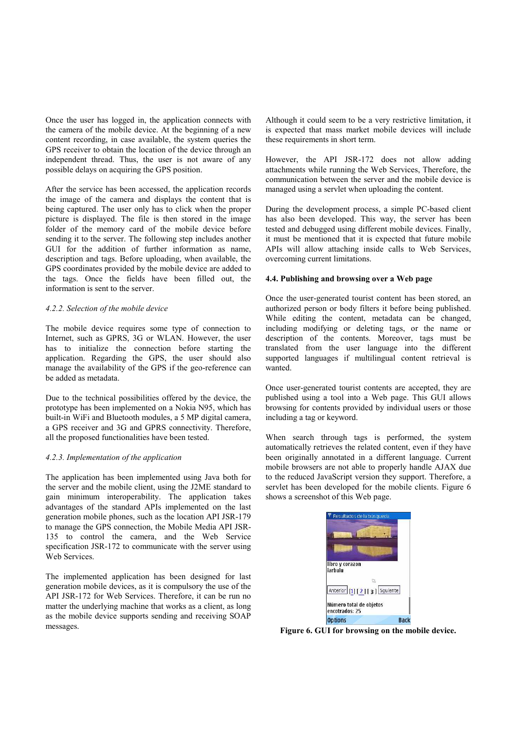Once the user has logged in, the application connects with the camera of the mobile device. At the beginning of a new content recording, in case available, the system queries the GPS receiver to obtain the location of the device through an independent thread. Thus, the user is not aware of any possible delays on acquiring the GPS position.

After the service has been accessed, the application records the image of the camera and displays the content that is being captured. The user only has to click when the proper picture is displayed. The file is then stored in the image folder of the memory card of the mobile device before sending it to the server. The following step includes another GUI for the addition of further information as name, description and tags. Before uploading, when available, the GPS coordinates provided by the mobile device are added to the tags. Once the fields have been filled out, the information is sent to the server.

#### *4.2.2. Selection of the mobile device*

The mobile device requires some type of connection to Internet, such as GPRS, 3G or WLAN. However, the user has to initialize the connection before starting the application. Regarding the GPS, the user should also manage the availability of the GPS if the geo-reference can be added as metadata.

Due to the technical possibilities offered by the device, the prototype has been implemented on a Nokia N95, which has built-in WiFi and Bluetooth modules, a 5 MP digital camera, a GPS receiver and 3G and GPRS connectivity. Therefore, all the proposed functionalities have been tested.

#### *4.2.3. Implementation of the application*

The application has been implemented using Java both for the server and the mobile client, using the J2ME standard to gain minimum interoperability. The application takes advantages of the standard APIs implemented on the last generation mobile phones, such as the location API JSR-179 to manage the GPS connection, the Mobile Media API JSR-135 to control the camera, and the Web Service specification JSR-172 to communicate with the server using Web Services.

The implemented application has been designed for last generation mobile devices, as it is compulsory the use of the API JSR-172 for Web Services. Therefore, it can be run no matter the underlying machine that works as a client, as long as the mobile device supports sending and receiving SOAP messages.

Although it could seem to be a very restrictive limitation, it is expected that mass market mobile devices will include these requirements in short term.

However, the API JSR-172 does not allow adding attachments while running the Web Services, Therefore, the communication between the server and the mobile device is managed using a servlet when uploading the content.

During the development process, a simple PC-based client has also been developed. This way, the server has been tested and debugged using different mobile devices. Finally, it must be mentioned that it is expected that future mobile APIs will allow attaching inside calls to Web Services, overcoming current limitations.

# **4.4. Publishing and browsing over a Web page**

Once the user-generated tourist content has been stored, an authorized person or body filters it before being published. While editing the content, metadata can be changed, including modifying or deleting tags, or the name or description of the contents. Moreover, tags must be translated from the user language into the different supported languages if multilingual content retrieval is wanted.

Once user-generated tourist contents are accepted, they are published using a tool into a Web page. This GUI allows browsing for contents provided by individual users or those including a tag or keyword.

When search through tags is performed, the system automatically retrieves the related content, even if they have been originally annotated in a different language. Current mobile browsers are not able to properly handle AJAX due to the reduced JavaScript version they support. Therefore, a servlet has been developed for the mobile clients. Figure 6 shows a screenshot of this Web page.



**Figure 6. GUI for browsing on the mobile device.**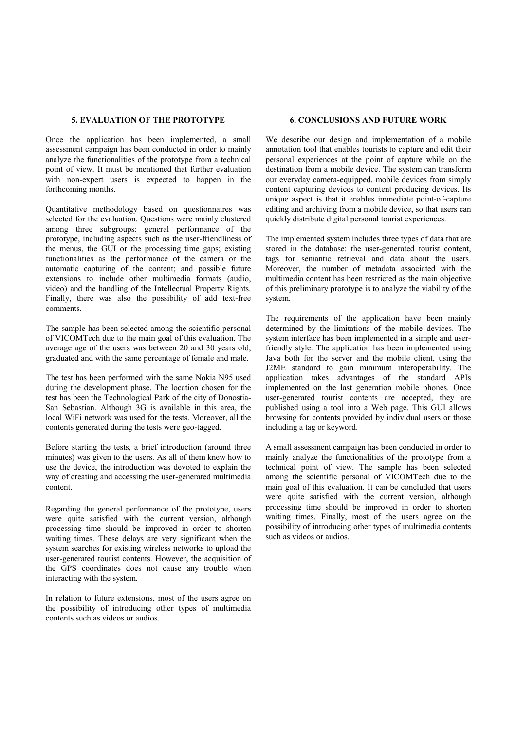# **5. EVALUATION OF THE PROTOTYPE**

Once the application has been implemented, a small assessment campaign has been conducted in order to mainly analyze the functionalities of the prototype from a technical point of view. It must be mentioned that further evaluation with non-expert users is expected to happen in the forthcoming months.

Quantitative methodology based on questionnaires was selected for the evaluation. Questions were mainly clustered among three subgroups: general performance of the prototype, including aspects such as the user-friendliness of the menus, the GUI or the processing time gaps; existing functionalities as the performance of the camera or the automatic capturing of the content; and possible future extensions to include other multimedia formats (audio, video) and the handling of the Intellectual Property Rights. Finally, there was also the possibility of add text-free comments.

The sample has been selected among the scientific personal of VICOMTech due to the main goal of this evaluation. The average age of the users was between 20 and 30 years old, graduated and with the same percentage of female and male.

The test has been performed with the same Nokia N95 used during the development phase. The location chosen for the test has been the Technological Park of the city of Donostia-San Sebastian. Although 3G is available in this area, the local WiFi network was used for the tests. Moreover, all the contents generated during the tests were geo-tagged.

Before starting the tests, a brief introduction (around three minutes) was given to the users. As all of them knew how to use the device, the introduction was devoted to explain the way of creating and accessing the user-generated multimedia content.

Regarding the general performance of the prototype, users were quite satisfied with the current version although processing time should be improved in order to shorten waiting times. These delays are very significant when the system searches for existing wireless networks to upload the user-generated tourist contents. However, the acquisition of the GPS coordinates does not cause any trouble when interacting with the system.

In relation to future extensions, most of the users agree on the possibility of introducing other types of multimedia contents such as videos or audios.

# **6. CONCLUSIONS AND FUTURE WORK**

We describe our design and implementation of a mobile annotation tool that enables tourists to capture and edit their personal experiences at the point of capture while on the destination from a mobile device. The system can transform our everyday camera-equipped, mobile devices from simply content capturing devices to content producing devices. Its unique aspect is that it enables immediate point-of-capture editing and archiving from a mobile device, so that users can quickly distribute digital personal tourist experiences.

The implemented system includes three types of data that are stored in the database: the user-generated tourist content, tags for semantic retrieval and data about the users. Moreover, the number of metadata associated with the multimedia content has been restricted as the main objective of this preliminary prototype is to analyze the viability of the system.

The requirements of the application have been mainly determined by the limitations of the mobile devices. The system interface has been implemented in a simple and userfriendly style. The application has been implemented using Java both for the server and the mobile client, using the J2ME standard to gain minimum interoperability. The application takes advantages of the standard APIs implemented on the last generation mobile phones. Once user-generated tourist contents are accepted, they are published using a tool into a Web page. This GUI allows browsing for contents provided by individual users or those including a tag or keyword.

A small assessment campaign has been conducted in order to mainly analyze the functionalities of the prototype from a technical point of view. The sample has been selected among the scientific personal of VICOMTech due to the main goal of this evaluation. It can be concluded that users were quite satisfied with the current version, although processing time should be improved in order to shorten waiting times. Finally, most of the users agree on the possibility of introducing other types of multimedia contents such as videos or audios.